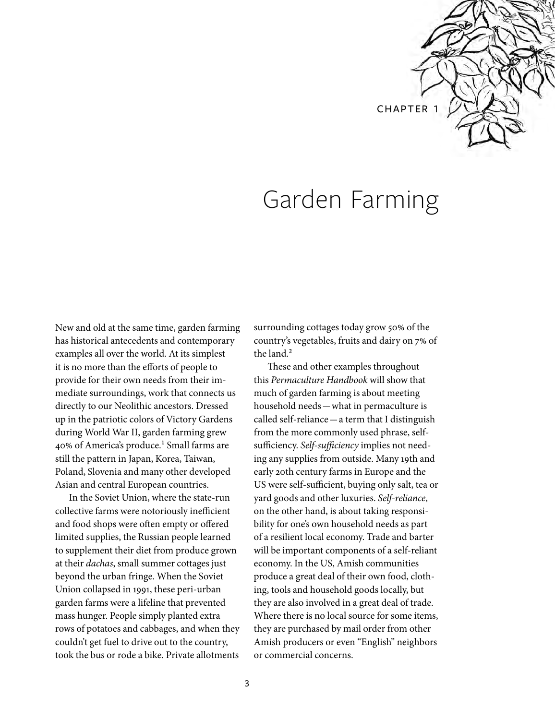

# Garden Farming

New and old at the same time, garden farming has historical antecedents and contemporary examples all over the world. At its simplest it is no more than the efforts of people to provide for their own needs from their immediate surroundings, work that connects us directly to our Neolithic ancestors. Dressed up in the patriotic colors of Victory Gardens during World War II, garden farming grew 40% of America's produce.<sup>1</sup> Small farms are still the pattern in Japan, Korea, Taiwan, Poland, Slovenia and many other developed Asian and central European countries.

In the Soviet Union, where the state-run collective farms were notoriously inefficient and food shops were often empty or offered limited supplies, the Russian people learned to supplement their diet from produce grown at their *dachas*, small summer cottages just beyond the urban fringe. When the Soviet Union collapsed in 1991, these peri-urban garden farms were a lifeline that prevented mass hunger. People simply planted extra rows of potatoes and cabbages, and when they couldn't get fuel to drive out to the country, took the bus or rode a bike. Private allotments

surrounding cottages today grow 50% of the country's vegetables, fruits and dairy on 7% of the land  $2$ 

These and other examples throughout this *Permaculture Handbook* will show that much of garden farming is about meeting household needs— what in permaculture is called self-reliance— a term that I distinguish from the more commonly used phrase, selfsufficiency. *Self-sufficiency* implies not needing any supplies from outside. Many 19th and early 20th century farms in Europe and the US were self-sufficient, buying only salt, tea or yard goods and other luxuries. *Self-reliance*, on the other hand, is about taking responsibility for one's own household needs as part of a resilient local economy. Trade and barter will be important components of a self-reliant economy. In the US, Amish communities produce a great deal of their own food, clothing, tools and household goods locally, but they are also involved in a great deal of trade. Where there is no local source for some items, they are purchased by mail order from other Amish producers or even "English" neighbors or commercial concerns.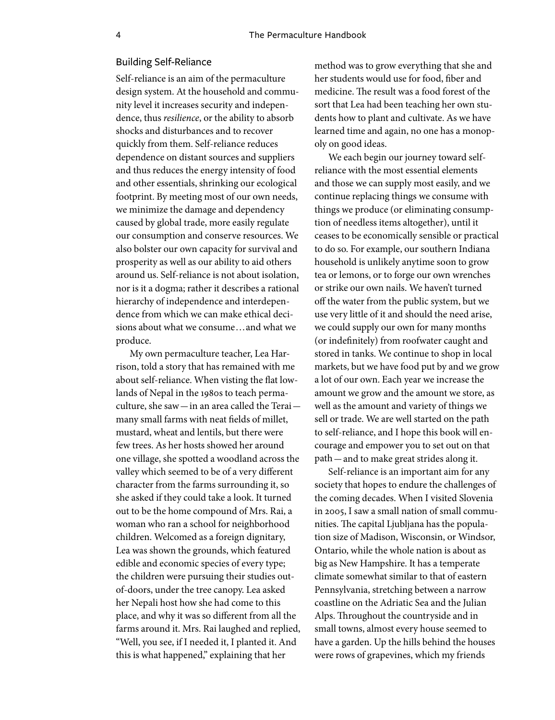#### Building Self-Reliance

Self-reliance is an aim of the permaculture design system. At the household and community level it increases security and independence, thus *resilience*, or the ability to absorb shocks and disturbances and to recover quickly from them. Self-reliance reduces dependence on distant sources and suppliers and thus reduces the energy intensity of food and other essentials, shrinking our ecological footprint. By meeting most of our own needs, we minimize the damage and dependency caused by global trade, more easily regulate our consumption and conserve resources. We also bolster our own capacity for survival and prosperity as well as our ability to aid others around us. Self-reliance is not about isolation, nor is it a dogma; rather it describes a rational hierarchy of independence and interdependence from which we can make ethical decisions about what we consume...and what we produce.

My own permaculture teacher, Lea Harrison, told a story that has remained with me about self-reliance. When visting the flat lowlands of Nepal in the 1980s to teach permaculture, she saw— in an area called the Terai many small farms with neat fields of millet, mustard, wheat and lentils, but there were few trees. As her hosts showed her around one village, she spotted a woodland across the valley which seemed to be of a very different character from the farms surrounding it, so she asked if they could take a look. It turned out to be the home compound of Mrs. Rai, a woman who ran a school for neighborhood children. Welcomed as a foreign dignitary, Lea was shown the grounds, which featured edible and economic species of every type; the children were pursuing their studies outof-doors, under the tree canopy. Lea asked her Nepali host how she had come to this place, and why it was so different from all the farms around it. Mrs. Rai laughed and replied, "Well, you see, if I needed it, I planted it. And this is what happened," explaining that her

method was to grow everything that she and her students would use for food, fiber and medicine. The result was a food forest of the sort that Lea had been teaching her own students how to plant and cultivate. As we have learned time and again, no one has a monopoly on good ideas.

We each begin our journey toward selfreliance with the most essential elements and those we can supply most easily, and we continue replacing things we consume with things we produce (or eliminating consumption of needless items altogether), until it ceases to be economically sensible or practical to do so. For example, our southern Indiana household is unlikely anytime soon to grow tea or lemons, or to forge our own wrenches or strike our own nails. We haven't turned off the water from the public system, but we use very little of it and should the need arise, we could supply our own for many months (or indefinitely) from roofwater caught and stored in tanks. We continue to shop in local markets, but we have food put by and we grow a lot of our own. Each year we increase the amount we grow and the amount we store, as well as the amount and variety of things we sell or trade. We are well started on the path to self-reliance, and I hope this book will encourage and empower you to set out on that path— and to make great strides along it.

Self-reliance is an important aim for any society that hopes to endure the challenges of the coming decades. When I visited Slovenia in 2005, I saw a small nation of small communities. The capital Ljubljana has the population size of Madison, Wisconsin, or Windsor, Ontario, while the whole nation is about as big as New Hampshire. It has a temperate climate somewhat similar to that of eastern Pennsylvania, stretching between a narrow coastline on the Adriatic Sea and the Julian Alps. Throughout the countryside and in small towns, almost every house seemed to have a garden. Up the hills behind the houses were rows of grapevines, which my friends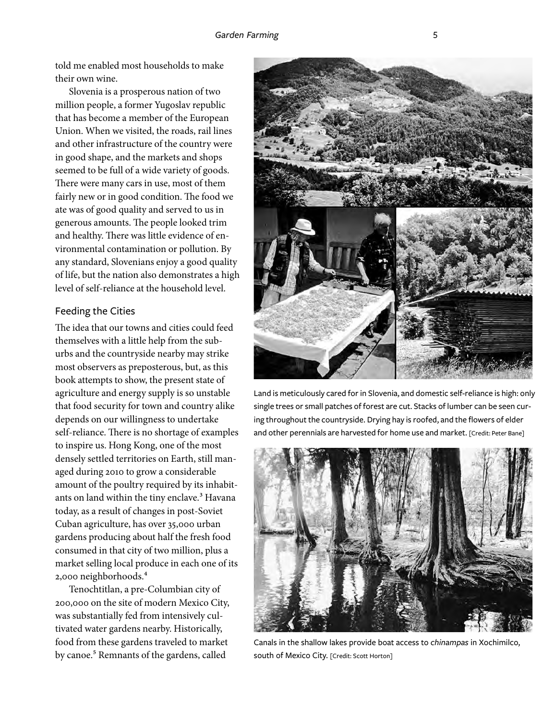told me enabled most households to make their own wine.

Slovenia is a prosperous nation of two million people, a former Yugoslav republic that has become a member of the European Union. When we visited, the roads, rail lines and other infrastructure of the country were in good shape, and the markets and shops seemed to be full of a wide variety of goods. There were many cars in use, most of them fairly new or in good condition. The food we ate was of good quality and served to us in generous amounts. The people looked trim and healthy. There was little evidence of environmental contamination or pollution. By any standard, Slovenians enjoy a good quality of life, but the nation also demonstrates a high level of self-reliance at the household level.

# Feeding the Cities

The idea that our towns and cities could feed themselves with a little help from the suburbs and the countryside nearby may strike most observers as preposterous, but, as this book attempts to show, the present state of agriculture and energy supply is so unstable that food security for town and country alike depends on our willingness to undertake self-reliance. There is no shortage of examples to inspire us. Hong Kong, one of the most densely settled territories on Earth, still managed during 2010 to grow a considerable amount of the poultry required by its inhabitants on land within the tiny enclave.<sup>3</sup> Havana today, as a result of changes in post-Soviet Cuban agriculture, has over 35,000 urban gardens producing about half the fresh food consumed in that city of two million, plus a market selling local produce in each one of its 2,000 neighborhoods.4

Tenochtitlan, a pre-Columbian city of 200,000 on the site of modern Mexico City, was substantially fed from intensively cultivated water gardens nearby. Historically, food from these gardens traveled to market by canoe.<sup>5</sup> Remnants of the gardens, called



Land is meticulously cared for in Slovenia, and domestic self-reliance is high: only single trees or small patches of forest are cut. Stacks of lumber can be seen curing throughout the countryside. Drying hay is roofed, and the flowers of elder and other perennials are harvested for home use and market. [Credit: Peter Bane]



Canals in the shallow lakes provide boat access to *chinampas* in Xochimilco, south of Mexico City. [Credit: Scott Horton]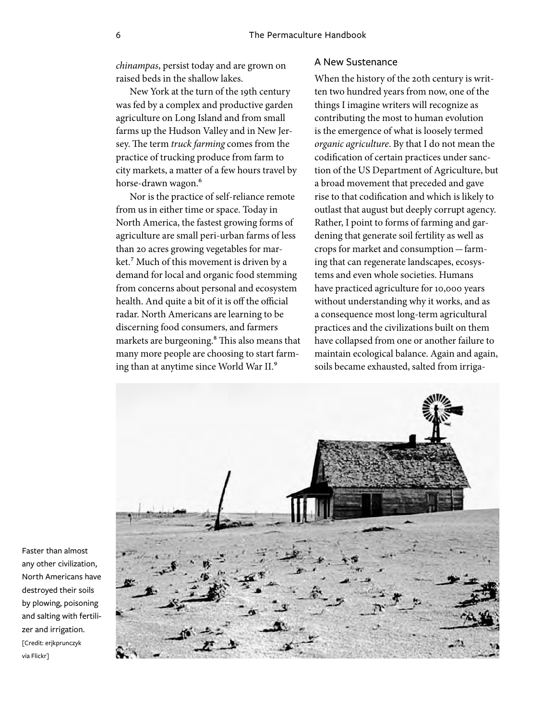*chinampas*, persist today and are grown on raised beds in the shallow lakes.

New York at the turn of the 19th century was fed by a complex and productive garden agriculture on Long Island and from small farms up the Hudson Valley and in New Jersey. The term *truck farming* comes from the practice of trucking produce from farm to city markets, a matter of a few hours travel by horse-drawn wagon.<sup>6</sup>

Nor is the practice of self-reliance remote from us in either time or space. Today in North America, the fastest growing forms of agriculture are small peri-urban farms of less than 20 acres growing vegetables for market.<sup>7</sup> Much of this movement is driven by a demand for local and organic food stemming from concerns about personal and ecosystem health. And quite a bit of it is off the official radar. North Americans are learning to be discerning food consumers, and farmers markets are burgeoning.<sup>8</sup> This also means that many more people are choosing to start farming than at anytime since World War II.9

### A New Sustenance

When the history of the 20th century is written two hundred years from now, one of the things I imagine writers will recognize as contributing the most to human evolution is the emergence of what is loosely termed *organic agriculture*. By that I do not mean the codification of certain practices under sanction of the US Department of Agriculture, but a broad movement that preceded and gave rise to that codification and which is likely to outlast that august but deeply corrupt agency. Rather, I point to forms of farming and gardening that generate soil fertility as well as crops for market and consumption— farming that can regenerate landscapes, ecosystems and even whole societies. Humans have practiced agriculture for 10,000 years without understanding why it works, and as a consequence most long-term agricultural practices and the civilizations built on them have collapsed from one or another failure to maintain ecological balance. Again and again, soils became exhausted, salted from irriga-



Faster than almost any other civilization, North Americans have destroyed their soils by plowing, poisoning and salting with fertilizer and irrigation. [Credit: erjkprunczyk via Flickr]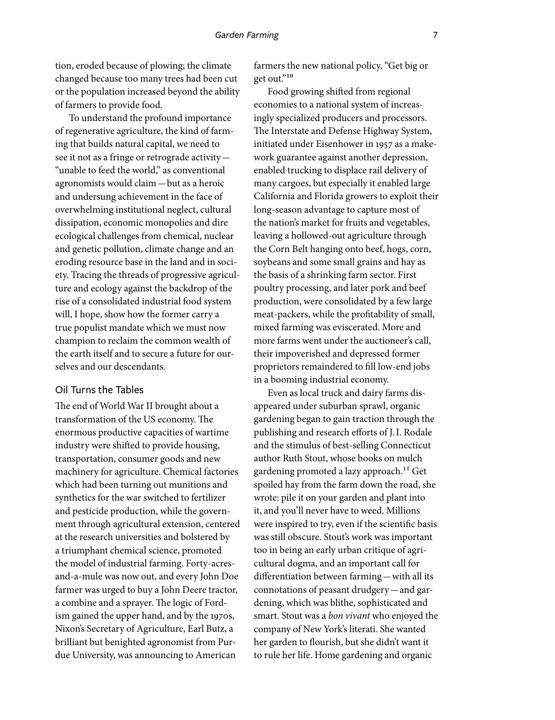tion, eroded because of plowing; the climate changed because too many trees had been cut or the population increased beyond the ability of farmers to provide food.

To understand the profound importance of regenerative agriculture, the kind of farming that builds natural capital, we need to see it not as a fringe or retrograde activity— "unable to feed the world," as conventional agronomists would claim— but as a heroic and undersung achievement in the face of overwhelming institutional neglect, cultural dissipation, economic monopolies and dire ecological challenges from chemical, nuclear and genetic pollution, climate change and an eroding resource base in the land and in society. Tracing the threads of progressive agriculture and ecology against the backdrop of the rise of a consolidated industrial food system will, I hope, show how the former carry a true populist mandate which we must now champion to reclaim the common wealth of the earth itself and to secure a future for ourselves and our descendants.

#### Oil Turns the Tables

The end of World War II brought about a transformation of the US economy. The enormous productive capacities of wartime industry were shifted to provide housing, transportation, consumer goods and new machinery for agriculture. Chemical factories which had been turning out munitions and synthetics for the war switched to fertilizer and pesticide production, while the government through agricultural extension, centered at the research universities and bolstered by a triumphant chemical science, promoted the model of industrial farming. Forty-acresand-a-mule was now out, and every John Doe farmer was urged to buy a John Deere tractor, a combine and a sprayer. The logic of Fordism gained the upper hand, and by the 1970s, Nixon's Secretary of Agriculture, Earl Butz, a brilliant but benighted agronomist from Purdue University, was announcing to American

farmers the new national policy, "Get big or get out."10

Food growing shifted from regional economies to a national system of increasingly specialized producers and processors. The Interstate and Defense Highway System, initiated under Eisenhower in 1957 as a makework guarantee against another depression, enabled trucking to displace rail delivery of many cargoes, but especially it enabled large California and Florida growers to exploit their long-season advantage to capture most of the nation's market for fruits and vegetables, leaving a hollowed-out agriculture through the Corn Belt hanging onto beef, hogs, corn, soybeans and some small grains and hay as the basis of a shrinking farm sector. First poultry processing, and later pork and beef production, were consolidated by a few large meat-packers, while the profitability of small, mixed farming was eviscerated. More and more farms went under the auctioneer's call, their impoverished and depressed former proprietors remaindered to fill low-end jobs in a booming industrial economy.

Even as local truck and dairy farms disappeared under suburban sprawl, organic gardening began to gain traction through the publishing and research efforts of J.I. Rodale and the stimulus of best-selling Connecticut author Ruth Stout, whose books on mulch gardening promoted a lazy approach.<sup>11</sup> Get spoiled hay from the farm down the road, she wrote: pile it on your garden and plant into it, and you'll never have to weed. Millions were inspired to try, even if the scientific basis was still obscure. Stout's work was important too in being an early urban critique of agricultural dogma, and an important call for differentiation between farming— with all its connotations of peasant drudgery— and gardening, which was blithe, sophisticated and smart. Stout was a *bon vivant* who enjoyed the company of New York's literati. She wanted her garden to flourish, but she didn't want it to rule her life. Home gardening and organic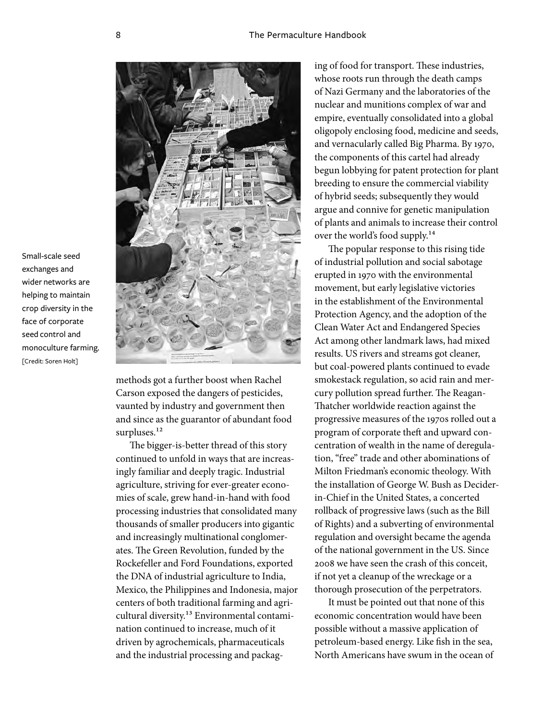Small-scale seed exchanges and wider networks are helping to maintain crop diversity in the face of corporate seed control and monoculture farming. [Credit: Soren Holt]



methods got a further boost when Rachel Carson exposed the dangers of pesticides, vaunted by industry and government then and since as the guarantor of abundant food surpluses.<sup>12</sup>

The bigger-is-better thread of this story continued to unfold in ways that are increasingly familiar and deeply tragic. Industrial agriculture, striving for ever-greater economies of scale, grew hand-in-hand with food processing industries that consolidated many thousands of smaller producers into gigantic and increasingly multinational conglomerates. The Green Revolution, funded by the Rockefeller and Ford Foundations, exported the DNA of industrial agriculture to India, Mexico, the Philippines and Indonesia, major centers of both traditional farming and agricultural diversity.<sup>13</sup> Environmental contamination continued to increase, much of it driven by agrochemicals, pharmaceuticals and the industrial processing and packaging of food for transport. These industries, whose roots run through the death camps of Nazi Germany and the laboratories of the nuclear and munitions complex of war and empire, eventually consolidated into a global oligopoly enclosing food, medicine and seeds, and vernacularly called Big Pharma. By 1970, the components of this cartel had already begun lobbying for patent protection for plant breeding to ensure the commercial viability of hybrid seeds; subsequently they would argue and connive for genetic manipulation of plants and animals to increase their control over the world's food supply.14

The popular response to this rising tide of industrial pollution and social sabotage erupted in 1970 with the environmental movement, but early legislative victories in the establishment of the Environmental Protection Agency, and the adoption of the Clean Water Act and Endangered Species Act among other landmark laws, had mixed results. US rivers and streams got cleaner, but coal-powered plants continued to evade smokestack regulation, so acid rain and mercury pollution spread further. The Reagan-Thatcher worldwide reaction against the progressive measures of the 1970s rolled out a program of corporate theft and upward concentration of wealth in the name of deregulation, "free" trade and other abominations of Milton Friedman's economic theology. With the installation of George W. Bush as Deciderin-Chief in the United States, a concerted rollback of progressive laws (such as the Bill of Rights) and a subverting of environmental regulation and oversight became the agenda of the national government in the US. Since 2008 we have seen the crash of this conceit, if not yet a cleanup of the wreckage or a thorough prosecution of the perpetrators.

It must be pointed out that none of this economic concentration would have been possible without a massive application of petroleum-based energy. Like fish in the sea, North Americans have swum in the ocean of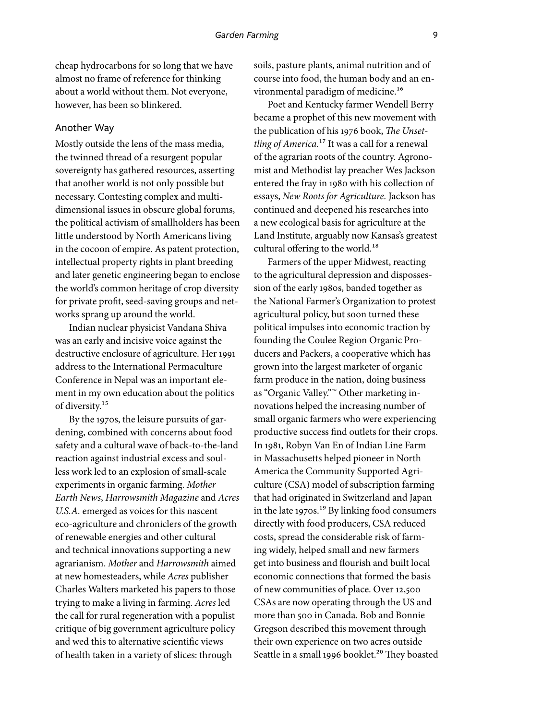cheap hydrocarbons for so long that we have almost no frame of reference for thinking about a world without them. Not everyone, however, has been so blinkered.

#### Another Way

Mostly outside the lens of the mass media, the twinned thread of a resurgent popular sovereignty has gathered resources, asserting that another world is not only possible but necessary. Contesting complex and multidimensional issues in obscure global forums, the political activism of smallholders has been little understood by North Americans living in the cocoon of empire. As patent protection, intellectual property rights in plant breeding and later genetic engineering began to enclose the world's common heritage of crop diversity for private profit, seed-saving groups and networks sprang up around the world.

Indian nuclear physicist Vandana Shiva was an early and incisive voice against the destructive enclosure of agriculture. Her 1991 address to the International Permaculture Conference in Nepal was an important element in my own education about the politics of diversity.15

By the 1970s, the leisure pursuits of gardening, combined with concerns about food safety and a cultural wave of back-to-the-land reaction against industrial excess and soulless work led to an explosion of small-scale experiments in organic farming. *Mother Earth News*, *Harrowsmith Magazine* and *Acres U.S.A.* emerged as voices for this nascent eco-agriculture and chroniclers of the growth of renewable energies and other cultural and technical innovations supporting a new agrarianism. *Mother* and *Harrowsmith* aimed at new homesteaders, while *Acres* publisher Charles Walters marketed his papers to those trying to make a living in farming. *Acres* led the call for rural regeneration with a populist critique of big government agriculture policy and wed this to alternative scientific views of health taken in a variety of slices: through

soils, pasture plants, animal nutrition and of course into food, the human body and an environmental paradigm of medicine.16

Poet and Kentucky farmer Wendell Berry became a prophet of this new movement with the publication of his 1976 book, *The Unsettling of America.*17 It was a call for a renewal of the agrarian roots of the country. Agronomist and Methodist lay preacher Wes Jackson entered the fray in 1980 with his collection of essays, *New Roots for Agriculture.* Jackson has continued and deepened his researches into a new ecological basis for agriculture at the Land Institute, arguably now Kansas's greatest cultural offering to the world.<sup>18</sup>

Farmers of the upper Midwest, reacting to the agricultural depression and dispossession of the early 1980s, banded together as the National Farmer's Organization to protest agricultural policy, but soon turned these political impulses into economic traction by founding the Coulee Region Organic Producers and Packers, a cooperative which has grown into the largest marketer of organic farm produce in the nation, doing business as "Organic Valley."™ Other marketing innovations helped the increasing number of small organic farmers who were experiencing productive success find outlets for their crops. In 1981, Robyn Van En of Indian Line Farm in Massachusetts helped pioneer in North America the Community Supported Agriculture (CSA) model of subscription farming that had originated in Switzerland and Japan in the late 1970s.<sup>19</sup> By linking food consumers directly with food producers, CSA reduced costs, spread the considerable risk of farming widely, helped small and new farmers get into business and flourish and built local economic connections that formed the basis of new communities of place. Over 12,500 CSAs are now operating through the US and more than 500 in Canada. Bob and Bonnie Gregson described this movement through their own experience on two acres outside Seattle in a small 1996 booklet.<sup>20</sup> They boasted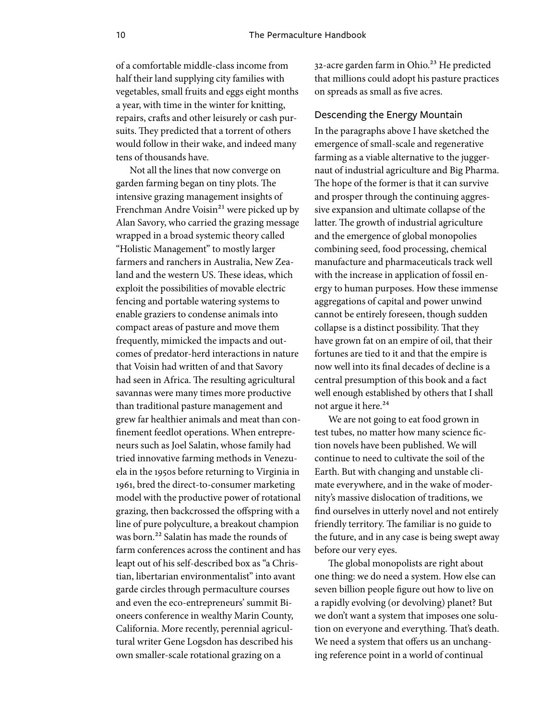of a comfortable middle-class income from half their land supplying city families with vegetables, small fruits and eggs eight months a year, with time in the winter for knitting, repairs, crafts and other leisurely or cash pursuits. They predicted that a torrent of others would follow in their wake, and indeed many tens of thousands have.

Not all the lines that now converge on garden farming began on tiny plots. The intensive grazing management insights of Frenchman Andre Voisin<sup>21</sup> were picked up by Alan Savory, who carried the grazing message wrapped in a broad systemic theory called "Holistic Management" to mostly larger farmers and ranchers in Australia, New Zealand and the western US. These ideas, which exploit the possibilities of movable electric fencing and portable watering systems to enable graziers to condense animals into compact areas of pasture and move them frequently, mimicked the impacts and outcomes of predator-herd interactions in nature that Voisin had written of and that Savory had seen in Africa. The resulting agricultural savannas were many times more productive than traditional pasture management and grew far healthier animals and meat than confinement feedlot operations. When entrepreneurs such as Joel Salatin, whose family had tried innovative farming methods in Venezuela in the 1950s before returning to Virginia in 1961, bred the direct-to-consumer marketing model with the productive power of rotational grazing, then backcrossed the offspring with a line of pure polyculture, a breakout champion was born.<sup>22</sup> Salatin has made the rounds of farm conferences across the continent and has leapt out of his self-described box as "a Christian, libertarian environmentalist" into avant garde circles through permaculture courses and even the eco-entrepreneurs' summit Bioneers conference in wealthy Marin County, California. More recently, perennial agricultural writer Gene Logsdon has described his own smaller-scale rotational grazing on a

32-acre garden farm in Ohio.<sup>23</sup> He predicted that millions could adopt his pasture practices on spreads as small as five acres.

## Descending the Energy Mountain

In the paragraphs above I have sketched the emergence of small-scale and regenerative farming as a viable alternative to the juggernaut of industrial agriculture and Big Pharma. The hope of the former is that it can survive and prosper through the continuing aggressive expansion and ultimate collapse of the latter. The growth of industrial agriculture and the emergence of global monopolies combining seed, food processing, chemical manufacture and pharmaceuticals track well with the increase in application of fossil energy to human purposes. How these immense aggregations of capital and power unwind cannot be entirely foreseen, though sudden collapse is a distinct possibility. That they have grown fat on an empire of oil, that their fortunes are tied to it and that the empire is now well into its final decades of decline is a central presumption of this book and a fact well enough established by others that I shall not argue it here.<sup>24</sup>

We are not going to eat food grown in test tubes, no matter how many science fiction novels have been published. We will continue to need to cultivate the soil of the Earth. But with changing and unstable climate everywhere, and in the wake of modernity's massive dislocation of traditions, we find ourselves in utterly novel and not entirely friendly territory. The familiar is no guide to the future, and in any case is being swept away before our very eyes.

The global monopolists are right about one thing: we do need a system. How else can seven billion people figure out how to live on a rapidly evolving (or devolving) planet? But we don't want a system that imposes one solution on everyone and everything. That's death. We need a system that offers us an unchanging reference point in a world of continual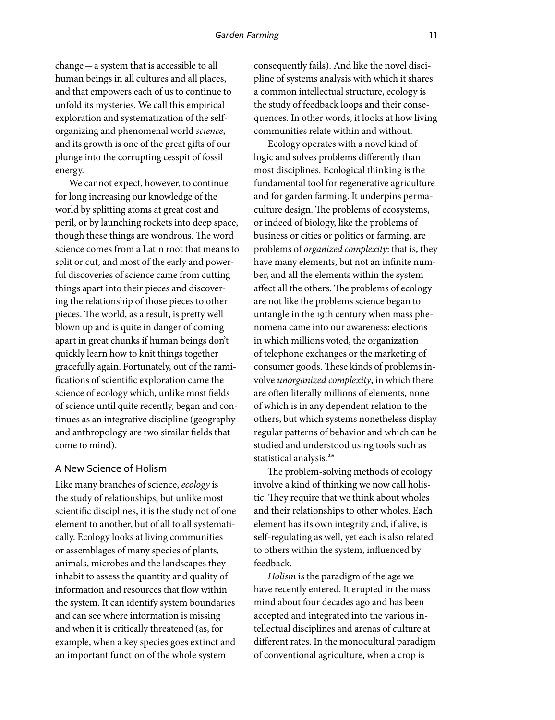change— a system that is accessible to all human beings in all cultures and all places, and that empowers each of us to continue to unfold its mysteries. We call this empirical exploration and systematization of the selforganizing and phenomenal world *science*, and its growth is one of the great gifts of our plunge into the corrupting cesspit of fossil energy.

We cannot expect, however, to continue for long increasing our knowledge of the world by splitting atoms at great cost and peril, or by launching rockets into deep space, though these things are wondrous. The word science comes from a Latin root that means to split or cut, and most of the early and powerful discoveries of science came from cutting things apart into their pieces and discovering the relationship of those pieces to other pieces. The world, as a result, is pretty well blown up and is quite in danger of coming apart in great chunks if human beings don't quickly learn how to knit things together gracefully again. Fortunately, out of the ramifications of scientific exploration came the science of ecology which, unlike most fields of science until quite recently, began and continues as an integrative discipline (geography and anthropology are two similar fields that come to mind).

### A New Science of Holism

Like many branches of science, *ecology* is the study of relationships, but unlike most scientific disciplines, it is the study not of one element to another, but of all to all systematically. Ecology looks at living communities or assemblages of many species of plants, animals, microbes and the landscapes they inhabit to assess the quantity and quality of information and resources that flow within the system. It can identify system boundaries and can see where information is missing and when it is critically threatened (as, for example, when a key species goes extinct and an important function of the whole system

consequently fails). And like the novel discipline of systems analysis with which it shares a common intellectual structure, ecology is the study of feedback loops and their consequences. In other words, it looks at how living communities relate within and without.

Ecology operates with a novel kind of logic and solves problems differently than most disciplines. Ecological thinking is the fundamental tool for regenerative agriculture and for garden farming. It underpins permaculture design. The problems of ecosystems, or indeed of biology, like the problems of business or cities or politics or farming, are problems of *organized complexity*: that is, they have many elements, but not an infinite number, and all the elements within the system affect all the others. The problems of ecology are not like the problems science began to untangle in the 19th century when mass phenomena came into our awareness: elections in which millions voted, the organization of telephone exchanges or the marketing of consumer goods. These kinds of problems involve *unorganized complexity*, in which there are often literally millions of elements, none of which is in any dependent relation to the others, but which systems nonetheless display regular patterns of behavior and which can be studied and understood using tools such as statistical analysis.<sup>25</sup>

The problem-solving methods of ecology involve a kind of thinking we now call holistic. They require that we think about wholes and their relationships to other wholes. Each element has its own integrity and, if alive, is self-regulating as well, yet each is also related to others within the system, influenced by feedback.

*Holism* is the paradigm of the age we have recently entered. It erupted in the mass mind about four decades ago and has been accepted and integrated into the various intellectual disciplines and arenas of culture at different rates. In the monocultural paradigm of conventional agriculture, when a crop is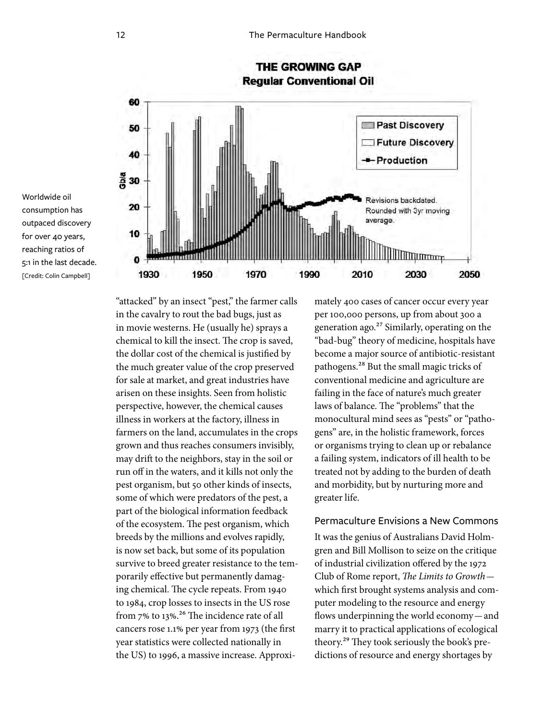

Worldwide oil consumption has outpaced discovery for over 40 years, reaching ratios of 5:1 in the last decade. [Credit: Colin Campbell]

> "attacked" by an insect "pest," the farmer calls in the cavalry to rout the bad bugs, just as in movie westerns. He (usually he) sprays a chemical to kill the insect. The crop is saved, the dollar cost of the chemical is justified by the much greater value of the crop preserved for sale at market, and great industries have arisen on these insights. Seen from holistic perspective, however, the chemical causes illness in workers at the factory, illness in farmers on the land, accumulates in the crops grown and thus reaches consumers invisibly, may drift to the neighbors, stay in the soil or run off in the waters, and it kills not only the pest organism, but 50 other kinds of insects, some of which were predators of the pest, a part of the biological information feedback of the ecosystem. The pest organism, which breeds by the millions and evolves rapidly, is now set back, but some of its population survive to breed greater resistance to the temporarily effective but permanently damaging chemical. The cycle repeats. From 1940 to 1984, crop losses to insects in the US rose from 7% to 13%. $^{26}$  The incidence rate of all cancers rose 1.1% per year from 1973 (the first year statistics were collected nationally in the US) to 1996, a massive increase. Approxi-

mately 400 cases of cancer occur every year per 100,000 persons, up from about 300 a generation ago.<sup>27</sup> Similarly, operating on the "bad-bug" theory of medicine, hospitals have become a major source of antibiotic-resistant pathogens.28 But the small magic tricks of conventional medicine and agriculture are failing in the face of nature's much greater laws of balance. The "problems" that the monocultural mind sees as "pests" or "pathogens" are, in the holistic framework, forces or organisms trying to clean up or rebalance a failing system, indicators of ill health to be treated not by adding to the burden of death and morbidity, but by nurturing more and greater life.

#### Permaculture Envisions a New Commons

It was the genius of Australians David Holmgren and Bill Mollison to seize on the critique of industrial civilization offered by the 1972 Club of Rome report, *The Limits to Growth* which first brought systems analysis and computer modeling to the resource and energy flows underpinning the world economy— and marry it to practical applications of ecological theory.29 They took seriously the book's predictions of resource and energy shortages by